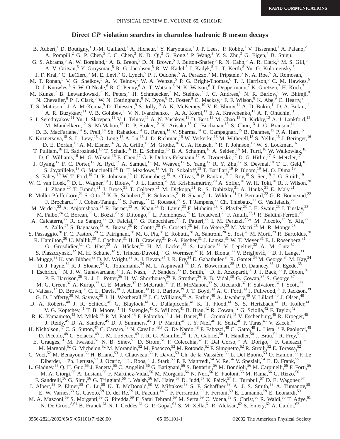## **Direct** *CP* **violation searches in charmless hadronic** *B* **meson decays**

B. Aubert,<sup>1</sup> D. Boutigny,<sup>1</sup> J.-M. Gaillard,<sup>1</sup> A. Hicheur,<sup>1</sup> Y. Karyotakis,<sup>1</sup> J. P. Lees,<sup>1</sup> P. Robbe,<sup>1</sup> V. Tisserand,<sup>1</sup> A. Palano,<sup>2</sup> A. Pompili,<sup>2</sup> G. P. Chen,<sup>3</sup> J. C. Chen,<sup>3</sup> N. D. Qi,<sup>3</sup> G. Rong,<sup>3</sup> P. Wang,<sup>3</sup> Y. S. Zhu,<sup>3</sup> G. Eigen,<sup>4</sup> B. Stugu,<sup>4</sup> G. S. Abrams,  $5$  A. W. Borgland,  $5$  A. B. Breon,  $5$  D. N. Brown,  $5$  J. Button-Shafer,  $5$  R. N. Cahn,  $5$  A. R. Clark,  $5$  M. S. Gill,  $5$ A. V. Gritsan,<sup>5</sup> Y. Groysman,<sup>5</sup> R. G. Jacobsen,<sup>5</sup> R. W. Kadel,<sup>5</sup> J. Kadyk,<sup>5</sup> L. T. Kerth,<sup>5</sup> Yu. G. Kolomensky,<sup>5</sup> J. F. Kral,<sup>5</sup> C. LeClerc,<sup>5</sup> M. E. Levi,<sup>5</sup> G. Lynch,<sup>5</sup> P. J. Oddone,<sup>5</sup> A. Perazzo,<sup>5</sup> M. Pripstein,<sup>5</sup> N. A. Roe,<sup>5</sup> A. Romosan,<sup>5</sup> M. T. Ronan,<sup>5</sup> V. G. Shelkov,<sup>5</sup> A. V. Telnov,<sup>5</sup> W. A. Wenzel,<sup>5</sup> P. G. Bright-Thomas,<sup>6</sup> T. J. Harrison,<sup>6</sup> C. M. Hawkes,<sup>6</sup> D. J. Knowles,<sup>6</sup> S. W. O'Neale,<sup>6</sup> R. C. Penny,<sup>6</sup> A. T. Watson,<sup>6</sup> N. K. Watson,<sup>6</sup> T. Deppermann,<sup>7</sup> K. Goetzen,<sup>7</sup> H. Koch,<sup>7</sup> M. Kunze,<sup>7</sup> B. Lewandowski,<sup>7</sup> K. Peters,<sup>7</sup> H. Schmuecker,<sup>7</sup> M. Steinke,<sup>7</sup> J. C. Andress,<sup>8</sup> N. R. Barlow,<sup>8</sup> W. Bhimji,<sup>8</sup> N. Chevalier, <sup>8</sup> P. J. Clark, <sup>8</sup> W. N. Cottingham, <sup>8</sup> N. Dyce, <sup>8</sup> B. Foster, <sup>8</sup> C. Mackay, <sup>8</sup> F. F. Wilson, <sup>8</sup> K. Abe, <sup>9</sup> C. Hearty, <sup>9</sup> T. S. Mattison, <sup>9</sup> J. A. McKenna, <sup>9</sup> D. Thiessen, <sup>9</sup> S. Jolly, <sup>10</sup> A. K. McKemey, <sup>10</sup> V. E. Blinov, <sup>11</sup> A. D. Bukin, <sup>11</sup> D. A. Bukin, <sup>11</sup> A. R. Buzykaev, <sup>11</sup> V. B. Golubev, <sup>11</sup> V. N. Ivanchenko, <sup>11</sup> A. A. Korol, <sup>11</sup> E. A. Kravchenko, <sup>11</sup> A. P. Onuchin, <sup>11</sup> S. I. Serednyakov,<sup>11</sup> Yu. I. Skovpen,<sup>11</sup> V. I. Telnov,<sup>11</sup> A. N. Yushkov,<sup>11</sup> D. Best,<sup>12</sup> M. Chao,<sup>12</sup> D. Kirkby,<sup>12</sup> A. J. Lankford,<sup>12</sup> M. Mandelkern,<sup>12</sup> S. McMahon,<sup>12</sup> D. P. Stoker,<sup>12</sup> K. Arisaka,<sup>13</sup> C. Buchanan,<sup>13</sup> S. Chun,<sup>13</sup> J. G. Branson,<sup>14</sup> D. B. MacFarlane,<sup>14</sup> S. Prell,<sup>14</sup> Sh. Rahatlou,<sup>14</sup> G. Raven,<sup>14</sup> V. Sharma,<sup>14</sup> C. Campagnari,<sup>15</sup> B. Dahmes,<sup>15</sup> P. A. Hart,<sup>15</sup> N. Kuznetsova,<sup>15</sup> S. L. Levy,<sup>15</sup> O. Long,<sup>15</sup> A. Lu,<sup>15</sup> J. D. Richman,<sup>15</sup> W. Verkerke,<sup>15</sup> M. Witherell,<sup>15</sup> S. Yellin,<sup>15</sup> J. Beringer,<sup>16</sup> D. E. Dorfan, <sup>16</sup> A. M. Eisner, <sup>16</sup> A. A. Grillo, <sup>16</sup> M. Grothe, <sup>16</sup> C. A. Heusch, <sup>16</sup> R. P. Johnson, <sup>16</sup> W. S. Lockman, <sup>16</sup> T. Pulliam,<sup>16</sup> H. Sadrozinski,<sup>16</sup> T. Schalk,<sup>16</sup> R. E. Schmitz,<sup>16</sup> B. A. Schumm,<sup>16</sup> A. Seiden,<sup>16</sup> M. Turri,<sup>16</sup> W. Walkowiak,<sup>16</sup> D. C. Williams,<sup>16</sup> M. G. Wilson,<sup>16</sup> E. Chen,<sup>17</sup> G. P. Dubois-Felsmann,<sup>17</sup> A. Dvoretskii,<sup>17</sup> D. G. Hitlin,<sup>17</sup> S. Metzler,<sup>17</sup> J. Oyang,<sup>17</sup> F. C. Porter,<sup>17</sup> A. Ryd,<sup>17</sup> A. Samuel,<sup>17</sup> M. Weaver,<sup>17</sup> S. Yang,<sup>17</sup> R. Y. Zhu,<sup>17</sup> S. Devmal,<sup>18</sup> T. L. Geld,<sup>18</sup> S. Jayatilleke,<sup>18</sup> G. Mancinelli,<sup>18</sup> B. T. Meadows,<sup>18</sup> M. D. Sokoloff,<sup>18</sup> T. Barillari,<sup>19</sup> P. Bloom,<sup>19</sup> M. O. Dima,<sup>19</sup> S. Fahey,<sup>19</sup> W. T. Ford,<sup>19</sup> D. R. Johnson,<sup>19</sup> U. Nauenberg,<sup>19</sup> A. Olivas,<sup>19</sup> P. Rankin,<sup>19</sup> J. Roy,<sup>19</sup> S. Sen,<sup>19</sup> J. G. Smith,<sup>19</sup> W. C. van Hoek,<sup>19</sup> D. L. Wagner,<sup>19</sup> J. Blouw,<sup>20</sup> J. L. Harton,<sup>20</sup> M. Krishnamurthy,<sup>20</sup> A. Soffer,<sup>20</sup> W. H. Toki,<sup>20</sup> R. J. Wilson,<sup>20</sup> J. Zhang,<sup>20</sup> T. Brandt,<sup>21</sup> J. Brose,<sup>21</sup> T. Colberg,<sup>21</sup> M. Dickopp,<sup>21</sup> R. S. Dubitzky,<sup>21</sup> A. Hauke,<sup>21</sup> E. Maly,<sup>21</sup> R. Müller-Pfefferkorn,<sup>21</sup> S. Otto,<sup>21</sup> K. R. Schubert,<sup>21</sup> R. Schwierz,<sup>21</sup> B. Spaan,<sup>21</sup> L. Wilden,<sup>21</sup> D. Bernard,<sup>22</sup> G. R. Bonneaud,<sup>22</sup> F. Brochard,<sup>22</sup> J. Cohen-Tanugi,<sup>22</sup> S. Ferrag,<sup>22</sup> E. Roussot,<sup>22</sup> S. T'Jampens,<sup>22</sup> Ch. Thiebaux,<sup>22</sup> G. Vasileiadis,<sup>22</sup> M. Verderi,<sup>22</sup> A. Anjomshoaa,<sup>23</sup> R. Bernet,<sup>23</sup> A. Khan,<sup>23</sup> D. Lavin,<sup>23</sup> F. Muheim,<sup>23</sup> S. Playfer,<sup>23</sup> J. E. Swain,<sup>23</sup> J. Tinslay,<sup>23</sup> M. Falbo,<sup>24</sup> C. Borean,<sup>25</sup> C. Bozzi,<sup>25</sup> S. Dittongo,<sup>25</sup> L. Piemontese,<sup>25</sup> E. Treadwell,<sup>26</sup> F. Anulli,<sup>27,\*</sup> R. Baldini-Ferroli,<sup>27</sup> A. Calcaterra,<sup>27</sup> R. de Sangro,<sup>27</sup> D. Falciai,<sup>27</sup> G. Finocchiaro,<sup>27</sup> P. Patteri,<sup>27</sup> I. M. Peruzzi,<sup>27,\*</sup> M. Piccolo,<sup>27</sup> Y. Xie,<sup>27</sup> A. Zallo,<sup>27</sup> S. Bagnasco,<sup>28</sup> A. Buzzo,<sup>28</sup> R. Contri,<sup>28</sup> G. Crosetti,<sup>28</sup> M. Lo Vetere,<sup>28</sup> M. Macri,<sup>28</sup> M. R. Monge,<sup>28</sup> S. Passaggio,<sup>28</sup> F. C. Pastore,<sup>28</sup> C. Patrignani,<sup>28</sup> M. G. Pia,<sup>28</sup> E. Robutti,<sup>28</sup> A. Santroni,<sup>28</sup> S. Tosi,<sup>28</sup> M. Morii,<sup>29</sup> R. Bartoldus,<sup>30</sup> R. Hamilton,<sup>30</sup> U. Mallik,<sup>30</sup> J. Cochran,<sup>31</sup> H. B. Crawley,<sup>31</sup> P.-A. Fischer,<sup>31</sup> J. Lamsa,<sup>31</sup> W. T. Meyer,<sup>31</sup> E. I. Rosenberg,<sup>31</sup> G. Grosdidier,<sup>32</sup> C. Hast,<sup>32</sup> A. Höcker,<sup>32</sup> H. M. Lacker,<sup>32</sup> S. Laplace,<sup>32</sup> V. Lepeltier,<sup>32</sup> A. M. Lutz,<sup>32</sup> S. Plaszczynski,<sup>32</sup> M. H. Schune,<sup>32</sup> S. Trincaz-Duvoid,<sup>32</sup> G. Wormser,<sup>32</sup> R. M. Bionta,<sup>33</sup> V. Brigljević,<sup>33</sup> D. J. Lange,<sup>33</sup> M. Mugge,<sup>33</sup> K. van Bibber,<sup>33</sup> D. M. Wright,<sup>33</sup> A. J. Bevan,<sup>34</sup> J. R. Fry,<sup>34</sup> E. Gabathuler,<sup>34</sup> R. Gamet,<sup>34</sup> M. George,<sup>34</sup> M. Kay,<sup>34</sup> D. J. Payne,<sup>34</sup> R. J. Sloane,<sup>34</sup> C. Touramanis,<sup>34</sup> M. L. Aspinwall,<sup>35</sup> D. A. Bowerman,<sup>35</sup> P. D. Dauncey,<sup>35</sup> U. Egede,<sup>35</sup> I. Eschrich,<sup>35</sup> N. J. W. Gunawardane,<sup>35</sup> J. A. Nash,<sup>35</sup> P. Sanders,<sup>35</sup> D. Smith,<sup>35</sup> D. E. Azzopardi,<sup>36</sup> J. J. Back,<sup>36</sup> P. Dixon,<sup>36</sup> P. F. Harrison,<sup>36</sup> R. J. L. Potter,<sup>36</sup> H. W. Shorthouse,<sup>36</sup> P. Strother,<sup>36</sup> P. B. Vidal,<sup>36</sup> G. Cowan,<sup>37</sup> S. George,<sup>37</sup> M. G. Green,<sup>37</sup> A. Kurup,<sup>37</sup> C. E. Marker,<sup>37</sup> P. McGrath,<sup>37</sup> T. R. McMahon,<sup>37</sup> S. Ricciardi,<sup>37</sup> F. Salvatore,<sup>37</sup> I. Scott,<sup>37</sup> G. Vaitsas,<sup>37</sup> D. Brown,<sup>38</sup> C. L. Davis,<sup>38</sup> J. Allison,<sup>39</sup> R. J. Barlow,<sup>39</sup> J. T. Boyd,<sup>39</sup> A. C. Forti,<sup>39</sup> J. Fullwood,<sup>39</sup> F. Jackson,<sup>39</sup> G. D. Lafferty,<sup>39</sup> N. Savvas,<sup>39</sup> J. H. Weatherall,<sup>39</sup> J. C. Williams,<sup>39</sup> A. Farbin,<sup>40</sup> A. Jawahery,<sup>40</sup> V. Lillard,<sup>40</sup> J. Olsen,<sup>40</sup> D. A. Roberts,<sup>40</sup> J. R. Schieck,<sup>40</sup> G. Blaylock,<sup>41</sup> C. Dallapiccola,<sup>41</sup> K. T. Flood,<sup>41</sup> S. S. Hertzbach,<sup>41</sup> R. Kofler,<sup>41</sup> V. G. Koptchev,<sup>41</sup> T. B. Moore,<sup>41</sup> H. Staengle,<sup>41</sup> S. Willocq,<sup>41</sup> B. Brau,<sup>42</sup> R. Cowan,<sup>42</sup> G. Sciolla,<sup>42</sup> F. Taylor,<sup>42</sup> R. K. Yamamoto,<sup>42</sup> M. Milek,<sup>43</sup> P. M. Patel,<sup>43</sup> F. Palombo,<sup>44</sup> J. M. Bauer,<sup>45</sup> L. Cremaldi,<sup>45</sup> V. Eschenburg,<sup>45</sup> R. Kroeger,<sup>45</sup> J. Reidy,<sup>45</sup> D. A. Sanders,<sup>45</sup> D. J. Summers,<sup>45</sup> J. P. Martin,<sup>46</sup> J. Y. Nief,<sup>46</sup> R. Seitz,<sup>46</sup> P. Taras,<sup>46</sup> V. Zacek,<sup>46</sup> H. Nicholson,<sup>47</sup> C. S. Sutton,<sup>47</sup> C. Cartaro,<sup>48</sup> N. Cavallo,<sup>48,†</sup> G. De Nardo,<sup>48</sup> F. Fabozzi,<sup>48</sup> C. Gatto,<sup>48</sup> L. Lista,<sup>48</sup> P. Paolucci,<sup>48</sup> D. Piccolo,<sup>48</sup> C. Sciacca,<sup>48</sup> J. M. LoSecco,<sup>49</sup> J. R. G. Alsmiller,<sup>50</sup> T. A. Gabriel,<sup>50</sup> T. Handler,<sup>50</sup> J. Brau,<sup>51</sup> R. Frey,<sup>51</sup> E. Grauges,<sup>51</sup> M. Iwasaki,<sup>51</sup> N. B. Sinev,<sup>51</sup> D. Strom,<sup>51</sup> F. Colecchia,<sup>52</sup> F. Dal Corso,<sup>52</sup> A. Dorigo,<sup>52</sup> F. Galeazzi,<sup>52</sup> M. Margoni,<sup>52</sup> G. Michelon,<sup>52</sup> M. Morandin,<sup>52</sup> M. Posocco,<sup>52</sup> M. Rotondo,<sup>52</sup> F. Simonetto,<sup>52</sup> R. Stroili,<sup>52</sup> E. Torassa,<sup>52</sup> C. Voci,<sup>52</sup> M. Benayoun,<sup>53</sup> H. Briand,<sup>53</sup> J. Chauveau,<sup>53</sup> P. David,<sup>53</sup> Ch. de la Vaissière,<sup>53</sup> L. Del Buono,<sup>53</sup> O. Hamon,<sup>53</sup> F. Le Diberder,<sup>53</sup> Ph. Leruste,<sup>53</sup> J. Ocariz,<sup>53</sup> L. Roos,<sup>53</sup> J. Stark,<sup>53</sup> P. F. Manfredi,<sup>54</sup> V. Re,<sup>54</sup> V. Speziali,<sup>54</sup> E. D. Frank,<sup>55</sup> L. Gladney,<sup>55</sup> Q. H. Guo,<sup>55</sup> J. Panetta,<sup>55</sup> C. Angelini,<sup>56</sup> G. Batignani,<sup>56</sup> S. Bettarini,<sup>56</sup> M. Bondioli,<sup>56</sup> M. Carpinelli,<sup>56</sup> F. Forti,<sup>56</sup> M. A. Giorgi,<sup>56</sup> A. Lusiani,<sup>56</sup> F. Martinez-Vidal,<sup>56</sup> M. Morganti,<sup>56</sup> N. Neri,<sup>56</sup> E. Paoloni,<sup>56</sup> M. Rama,<sup>56</sup> G. Rizzo,<sup>56</sup> F. Sandrelli,<sup>56</sup> G. Simi,<sup>56</sup> G. Triggiani,<sup>56</sup> J. Walsh,<sup>56</sup> M. Haire,<sup>57</sup> D. Judd,<sup>57</sup> K. Paick,<sup>57</sup> L. Turnbull,<sup>57</sup> D. E. Wagoner,<sup>57</sup> J. Albert,<sup>58</sup> P. Elmer,<sup>58</sup> C. Lu,<sup>58</sup> K. T. McDonald,<sup>58</sup> V. Miftakov,<sup>58</sup> S. F. Schaffner,<sup>58</sup> A. J. S. Smith,<sup>58</sup> A. Tumanov,<sup>58</sup> E. W. Varnes,<sup>58</sup> G. Cavoto,<sup>59</sup> D. del Re,<sup>59</sup> R. Faccini,<sup>14,59</sup> F. Ferrarotto,<sup>59</sup> F. Ferroni,<sup>59</sup> E. Lamanna,<sup>59</sup> E. Leonardi,<sup>59</sup> M. A. Mazzoni,<sup>59</sup> S. Morganti,<sup>59</sup> G. Piredda,<sup>59</sup> F. Safai Tehrani,<sup>59</sup> M. Serra,<sup>59</sup> C. Voena,<sup>59</sup> S. Christ,<sup>60</sup> R. Waldi,<sup>60</sup> T. Adye,<sup>61</sup> N. De Groot,<sup>8,61</sup> B. Franek,<sup>61</sup> N. I. Geddes,<sup>61</sup> G. P. Gopal,<sup>61</sup> S. M. Xella,<sup>61</sup> R. Aleksan,<sup>62</sup> S. Emery,<sup>62</sup> A. Gaidot,<sup>62</sup>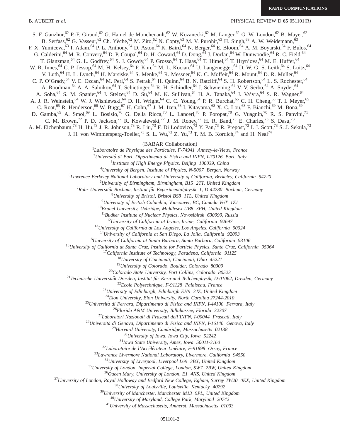**RAPID COMMUNICATIONS**

S. F. Ganzhur,<sup>62</sup> P.-F. Giraud,<sup>62</sup> G. Hamel de Monchenault,<sup>62</sup> W. Kozanecki,<sup>62</sup> M. Langer,<sup>62</sup> G. W. London,<sup>62</sup> B. Mayer,<sup>62</sup> B. Serfass,<sup>62</sup> G. Vasseur,<sup>62</sup> Ch. Yèche,<sup>62</sup> M. Zito,<sup>62</sup> N. Copty,<sup>63</sup> M. V. Purohit,<sup>63</sup> H. Singh,<sup>63</sup> A. W. Weidemann,<sup>63</sup> F. X. Yumiceva,<sup>63</sup> I. Adam,<sup>64</sup> P. L. Anthony,<sup>64</sup> D. Aston,<sup>64</sup> K. Baird,<sup>64</sup> N. Berger,<sup>64</sup> E. Bloom,<sup>64</sup> A. M. Boyarski,<sup>64</sup> F. Bulos,<sup>64</sup> G. Calderini,<sup>64</sup> M. R. Convery,<sup>64</sup> D. P. Coupal,<sup>64</sup> D. H. Coward,<sup>64</sup> D. Dong,<sup>64</sup> J. Dorfan,<sup>64</sup> W. Dunwoodie,<sup>64</sup> R. C. Field,<sup>64</sup> T. Glanzman,<sup>64</sup> G. L. Godfrey,<sup>64</sup> S. J. Gowdy,<sup>64</sup> P. Grosso,<sup>64</sup> T. Haas,<sup>64</sup> T. Himel,<sup>64</sup> T. Hryn'ova,<sup>64</sup> M. E. Huffer,<sup>64</sup> W. R. Innes, <sup>64</sup> C. P. Jessop, <sup>64</sup> M. H. Kelsey, <sup>64</sup> P. Kim, <sup>64</sup> M. L. Kocian, <sup>64</sup> U. Langenegger, <sup>64</sup> D. W. G. S. Leith, <sup>64</sup> S. Luitz, <sup>64</sup> V. Luth,<sup>64</sup> H. L. Lynch,<sup>64</sup> H. Marsiske,<sup>64</sup> S. Menke,<sup>64</sup> R. Messner,<sup>64</sup> K. C. Moffeit,<sup>64</sup> R. Mount,<sup>64</sup> D. R. Muller,<sup>64</sup> C. P. O'Grady,  $^{64}$  V. E. Ozcan,  $^{64}$  M. Perl,  $^{64}$  S. Petrak,  $^{64}$  H. Quinn,  $^{64}$  B. N. Ratcliff,  $^{64}$  S. H. Robertson,  $^{64}$  L. S. Rochester,  $^{64}$ A. Roodman,<sup>64</sup> A. A. Salnikov,<sup>64</sup> T. Schietinger,<sup>64</sup> R. H. Schindler,<sup>64</sup> J. Schwiening,<sup>64</sup> V. V. Serbo,<sup>64</sup> A. Snyder,<sup>64</sup> A. Soha, <sup>64</sup> S. M. Spanier, <sup>64</sup> J. Stelzer, <sup>64</sup> D. Su, <sup>64</sup> M. K. Sullivan, <sup>64</sup> H. A. Tanaka, <sup>64</sup> J. Va'vra, <sup>64</sup> S. R. Wagner, <sup>64</sup> A. J. R. Weinstein,<sup>64</sup> W. J. Wisniewski,<sup>64</sup> D. H. Wright,<sup>64</sup> C. C. Young,<sup>64</sup> P. R. Burchat,<sup>65</sup> C. H. Cheng,<sup>65</sup> T. I. Meyer,<sup>65</sup> C. Roat,<sup>65</sup> R. Henderson,<sup>66</sup> W. Bugg,<sup>67</sup> H. Cohn,<sup>67</sup> J. M. Izen,<sup>68</sup> I. Kitayama,<sup>68</sup> X. C. Lou,<sup>68</sup> F. Bianchi,<sup>69</sup> M. Bona,<sup>69</sup> D. Gamba,<sup>69</sup> A. Smol,<sup>69</sup> L. Bosisio,<sup>70</sup> G. Della Ricca,<sup>70</sup> L. Lanceri,<sup>70</sup> P. Poropat,<sup>70</sup> G. Vuagnin,<sup>70</sup> R. S. Panvini,<sup>71</sup> C. M. Brown,<sup>72</sup> P. D. Jackson,<sup>72</sup> R. Kowalewski,<sup>72</sup> J. M. Roney,<sup>72</sup> H. R. Band,<sup>73</sup> E. Charles,<sup>73</sup> S. Dasu,<sup>73</sup> A. M. Eichenbaum,<sup>73</sup> H. Hu,<sup>73</sup> J. R. Johnson,<sup>73</sup> R. Liu,<sup>73</sup> F. Di Lodovico,<sup>73</sup> Y. Pan,<sup>73</sup> R. Prepost,<sup>73</sup> I. J. Scott,<sup>73</sup> S. J. Sekula,<sup>73</sup> J. H. von Wimmersperg-Toeller,<sup>73</sup> S. L. Wu,<sup>73</sup> Z. Yu,<sup>73</sup> T. M. B. Kordich,<sup>74</sup> and H. Neal<sup>74</sup> <sup>~</sup>BABAR Collaboration! *Laboratoire de Physique des Particules, F-74941 Annecy-le-Vieux, France Universita` di Bari, Dipartimento di Fisica and INFN, I-70126 Bari, Italy Institute of High Energy Physics, Beijing 100039, China University of Bergen, Institute of Physics, N-5007 Bergen, Norway Lawrence Berkeley National Laboratory and University of California, Berkeley, California 94720 University of Birmingham, Birmingham, B15 2TT, United Kingdom* <sup>7</sup> Ruhr Universität Bochum, Institut für Experimentalphysik 1, D-44780 Bochum, Germany *University of Bristol, Bristol BS8 1TL, United Kingdom University of British Columbia, Vancouver, BC, Canada V6T 1Z1 Brunel University, Uxbridge, Middlesex UB8 3PH, United Kingdom Budker Institute of Nuclear Physics, Novosibirsk 630090, Russia University of California at Irvine, Irvine, California 92697 University of California at Los Angeles, Los Angeles, California 90024 University of California at San Diego, La Jolla, California 92093 University of California at Santa Barbara, Santa Barbara, California 93106 University of California at Santa Cruz, Institute for Particle Physics, Santa Cruz, California 95064 California Institute of Technology, Pasadena, California 91125 University of Cincinnati, Cincinnati, Ohio 45221 University of Colorado, Boulder, Colorado 80309 Colorado State University, Fort Collins, Colorado 80523* <sup>21</sup>Technische Universität Dresden, Institut für Kern-und Teilchenphysik, D-01062, Dresden, Germany *Ecole Polytechnique, F-91128 Palaiseau, France University of Edinburgh, Edinburgh EH9 3JZ, United Kingdom Elon University, Elon University, North Carolina 27244-2010 Universita` di Ferrara, Dipartimento di Fisica and INFN, I-44100 Ferrara, Italy Florida A&M University, Tallahassee, Florida 32307 Laboratori Nazionali di Frascati dell'INFN, I-00044 Frascati, Italy* B. AUBERT *et al.* PHYSICAL REVIEW D **65** 051101(R)

*Universita` di Genova, Dipartimento di Fisica and INFN, I-16146 Genova, Italy*

*Harvard University, Cambridge, Massachusetts 02138*

*University of Iowa, Iowa City, Iowa 52242*

*Iowa State University, Ames, Iowa 50011-3160*

<sup>32</sup>Laboratoire de l'Accélérateur Linéaire, F-91898 Orsay, France

*Lawrence Livermore National Laboratory, Livermore, California 94550*

*University of Liverpool, Liverpool L69 3BX, United Kingdom*

*University of London, Imperial College, London, SW7 2BW, United Kingdom*

*Queen Mary, University of London, E1 4NS, United Kingdom*

*University of London, Royal Holloway and Bedford New College, Egham, Surrey TW20 0EX, United Kingdom*

*University of Louisville, Louisville, Kentucky 40292*

*University of Manchester, Manchester M13 9PL, United Kingdom*

*University of Maryland, College Park, Maryland 20742*

*University of Massachusetts, Amherst, Massachusetts 01003*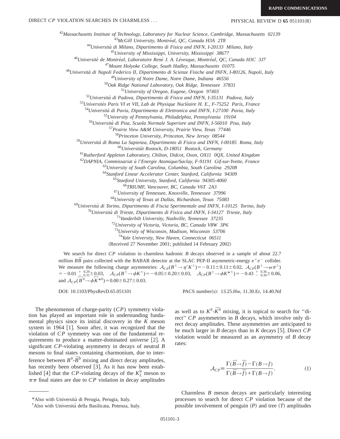<sup>42</sup>*Massachusetts Institute of Technology, Laboratory for Nuclear Science, Cambridge, Massachusetts 02139*

<sup>43</sup>McGill University, Montréal, QC, Canada H3A 2T8

<sup>44</sup>*Universita` di Milano, Dipartimento di Fisica and INFN, I-20133 Milano, Italy*

<sup>45</sup>*University of Mississippi, University, Mississippi 38677*

<sup>46</sup>*Universite´ de Montre´al, Laboratoire Rene´ J. A. Le´vesque, Montre´al, QC, Canada H3C 3J7*

<sup>47</sup>*Mount Holyoke College, South Hadley, Massachusetts 01075*

<sup>48</sup>*Universita` di Napoli Federico II, Dipartimento di Scienze Fisiche and INFN, I-80126, Napoli, Italy*

<sup>49</sup>*University of Notre Dame, Notre Dame, Indiana 46556*

<sup>50</sup>*Oak Ridge National Laboratory, Oak Ridge, Tennessee 37831*

<sup>51</sup>*University of Oregon, Eugene, Oregon 97403*

<sup>52</sup>*Universita` di Padova, Dipartimento di Fisica and INFN, I-35131 Padova, Italy*

<sup>53</sup>Universités Paris VI et VII, Lab de Physique Nucléaire H. E., F-75252 Paris, France

<sup>54</sup>*Universita` di Pavia, Dipartimento di Elettronica and INFN, I-27100 Pavia, Italy*

<sup>55</sup>*University of Pennsylvania, Philadelphia, Pennsylvania 19104*

<sup>56</sup>*Universita` di Pisa, Scuola Normale Superiore and INFN, I-56010 Pisa, Italy*

<sup>57</sup>*Prairie View A&M University, Prairie View, Texas 77446*

<sup>58</sup>*Princeton University, Princeton, New Jersey 08544*

<sup>59</sup>*Universita` di Roma La Sapienza, Dipartimento di Fisica and INFN, I-00185 Roma, Italy*

<sup>60</sup>*Universita¨t Rostock, D-18051 Rostock, Germany*

<sup>61</sup>*Rutherford Appleton Laboratory, Chilton, Didcot, Oxon, OX11 0QX, United Kingdom*

<sup>62</sup>*DAPNIA, Commissariat a` l'Energie Atomique/Saclay, F-91191 Gif-sur-Yvette, France*

<sup>63</sup>*University of South Carolina, Columbia, South Carolina 29208*

<sup>64</sup>*Stanford Linear Accelerator Center, Stanford, California 94309*

<sup>65</sup>*Stanford University, Stanford, California 94305-4060*

<sup>66</sup>*TRIUMF, Vancouver, BC, Canada V6T 2A3*

<sup>67</sup>*University of Tennessee, Knoxville, Tennessee 37996*

<sup>68</sup>*University of Texas at Dallas, Richardson, Texas 75083*

<sup>69</sup>*Universita` di Torino, Dipartimento di Fiscia Sperimentale and INFN, I-10125 Torino, Italy*

<sup>70</sup>*Universita` di Trieste, Dipartimento di Fisica and INFN, I-34127 Trieste, Italy*

<sup>71</sup>*Vanderbilt University, Nashville, Tennessee 37235*

<sup>72</sup>*University of Victoria, Victoria, BC, Canada V8W 3P6*

<sup>73</sup>*University of Wisconsin, Madison, Wisconsin 53706*

<sup>74</sup>*Yale University, New Haven, Connecticut 06511*

(Received 27 November 2001; published 14 February 2002)

We search for direct *CP* violation in charmless hadronic *B* decays observed in a sample of about 22.7 million  $B\bar{B}$  pairs collected with the BABAR detector at the SLAC PEP-II asymmetric-energy  $e^+e^-$  collider. We measure the following charge asymmetries:  $A_{CP}(B^{\pm} \to \eta' K^{\pm}) = -0.11 \pm 0.11 \pm 0.02$ ,  $A_{CP}(B^{\pm} \to \omega \pi^{\pm})$  $= -0.01 \begin{array}{l} +0.29 + 0.03, \\ -0.031 - 0.03, \end{array}$   $\mathcal{A}_{CP}(B^{\pm} \to \phi K^{\pm}) = -0.05 \pm 0.20 \pm 0.03,$   $\mathcal{A}_{CP}(B^{\pm} \to \phi K^{\pm}{}^{\pm}) = -0.43 \begin{array}{l} +0.36 + 0.36 + 0.06, \\ -0.30 + 0.36 \end{array}$ and  $\mathcal{A}_{CP}(\overrightarrow{B}^0 \rightarrow \phi \overrightarrow{K}^{*0}) = 0.00 \pm 0.27 \pm 0.03.$ 

DOI: 10.1103/PhysRevD.65.051101 PACS number(s): 13.25.Hw, 11.30.Er, 14.40.Nd

The phenomenon of charge-parity (*CP*) symmetry violation has played an important role in understanding fundamental physics since its initial discovery in the *K* meson system in 1964  $\lceil 1 \rceil$ . Soon after, it was recognized that the violation of *CP* symmetry was one of the fundamental requirements to produce a matter-dominated universe  $[2]$ . A significant *CP*-violating asymmetry in decays of neutral *B* mesons to final states containing charmonium, due to interference between  $B^0$ - $\overline{B}^0$  mixing and direct decay amplitudes, has recently been observed  $[3]$ . As it has now been established [4] that the *CP*-violating decays of the  $K_L^0$  meson to  $\pi\pi$  final states are due to *CP* violation in decay amplitudes

as well as to  $K^0$ - $\bar{K}^0$  mixing, it is topical to search for "direct'' *CP* asymmetries in *B* decays, which involve only direct decay amplitudes. These asymmetries are anticipated to be much larger in *B* decays than in *K* decays [5]. Direct  $CP$ violation would be measured as an asymmetry of *B* decay rates:

$$
\mathcal{A}_{CP} = \frac{\Gamma(\bar{B} \to \bar{f}) - \Gamma(B \to f)}{\Gamma(\bar{B} \to \bar{f}) + \Gamma(B \to f)}.
$$
\n(1)

Charmless *B* meson decays are particularly interesting processes to search for direct *CP* violation because of the possible involvement of penguin  $(P)$  and tree  $(T)$  amplitudes

<sup>\*</sup>Also with Universita` di Perugia, Perugia, Italy.

<sup>†</sup> Also with Universita` della Basilicata, Potenza, Italy.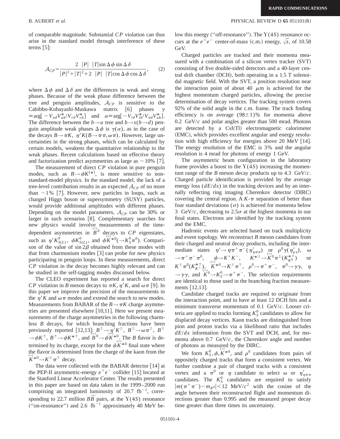of comparable magnitude. Substantial *CP* violation can thus arise in the standard model through interference of these terms  $[5]$ :

$$
\mathcal{A}_{CP} = \frac{2 |P| |T| \sin \Delta \phi \sin \Delta \delta}{|P|^2 + |T|^2 + 2 |P| |T| \cos \Delta \phi \cos \Delta \delta}, \qquad (2)
$$

where  $\Delta \phi$  and  $\Delta \delta$  are the differences in weak and strong phases. Because of the weak phase difference between the tree and penguin amplitudes,  $A_{CP}$  is sensitive to the Cabibbo-Kobayashi-Maskawa matrix [6] phases  $\gamma$ Cabibbo-Kobayashi-Maskawa matrix [6] phases  $\equiv \arg \left[ -V_{ud}V_{ub}^*/V_{cd}V_{cb}^* \right]$  and  $\alpha \equiv \arg \left[ -V_{td}V_{tb}^*/V_{ud}V_{ub}^* \right]$ . The difference between the  $b \rightarrow u$  tree and  $b \rightarrow s(b \rightarrow d)$  penguin amplitude weak phases  $\Delta \phi$  is  $\gamma(\alpha)$ , as in the case of the decays  $B \rightarrow \pi K$ ,  $\eta' K(B \rightarrow \pi \pi, \omega \pi)$ . However, large uncertainties in the strong phases, which can be calculated by certain models, weakens the quantitative relationship to the weak phases. Recent calculations based on effective theory and factorization predict asymmetries as large as  $\sim$  10% [7].

The measurement of direct *CP* violation in pure penguin modes, such as  $B \rightarrow \phi K^{(*)}$ , is more sensitive to nonstandard-model physics. In the standard model, the lack of a tree-level contribution results in an expected  $\mathcal{A}_{CP}$  of no more than  $\sim$  1% [7]. However, new particles in loops, such as charged Higgs boson or supersymmetry (SUSY) particles, would provide additional amplitudes with different phases. Depending on the model parameters, A*CP* can be 30% or larger in such scenarios [8]. Complementary searches for new physics would involve measurements of the timedependent asymmetries in  $\overline{B}^0$  decays to  $CP$  eigenstates, such as  $\eta' K_{S(L)}^0$ ,  $\phi K_{S(L)}^0$ , and  $\phi K^{*0}(\rightarrow K_S^0 \pi^0)$ . Comparison of the value of  $\sin 2\beta$  obtained from these modes with that from charmonium modes  $\lceil 3 \rceil$  can probe for new physics participating in penguin loops. In these measurements, direct *CP* violation in the decay becomes highly relevant and can be studied in the self-tagging modes discussed below.

The CLEO experiment has reported a search for direct *CP* violation in *B* meson decays to  $\pi K$ ,  $\eta$ <sup>*K*</sup>, and  $\omega \pi$  [9]. In this paper we improve the precision of the measurements in the  $\eta$ <sup>'</sup>K and  $\omega \pi$  modes and extend the search to new modes. Measurements from BABAR of the  $B \rightarrow \pi K$  charge asymmetries are presented elsewhere  $[10,11]$ . Here we present measurements of the charge asymmetries in the following charmless *B* decays, for which branching fractions have been previously reported  $[12,13]$ :  $B^{\pm} \rightarrow \eta' K^{\pm}$ ,  $B^{\pm} \rightarrow \omega \pi^{\pm}$ ,  $B^{\pm}$  $\rightarrow \phi K^{\pm}$ ,  $B^{\pm} \rightarrow \phi K^{* \pm}$ , and  $B^0 \rightarrow \phi K^{*0}$ . The *B* flavor is determined by its charge, except for the  $\phi K^{*0}$  final state where the flavor is determined from the charge of the kaon from the  $K^{*0} \rightarrow K^{\pm} \pi^{\mp}$  decay.

The data were collected with the BABAR detector  $[14]$  at the PEP-II asymmetric-energy  $e^+e^-$  collider [15] located at the Stanford Linear Accelerator Center. The results presented in this paper are based on data taken in the 1999–2000 run comprising an integrated luminosity of  $20.7 \text{ fb}^{-1}$ , corresponding to 22.7 million  $B\overline{B}$  pairs, at the Y(4*S*) resonance ("on-resonance") and 2.6  $fb^{-1}$  approximately 40 MeV be-

## B. AUBERT *et al.* PHYSICAL REVIEW D **65** 051101(R)

low this energy ("off-resonance"). The  $Y(4S)$  resonance occurs at the  $e^+e^-$  center-of-mass (c.m.) energy,  $\sqrt{s}$ , of 10.58 GeV.

Charged particles are tracked and their momenta measured with a combination of a silicon vertex tracker (SVT) consisting of five double-sided detectors and a 40-layer central drift chamber  $(DCH)$ , both operating in a 1.5 T solenoidal magnetic field. With the SVT, a position resolution near the interaction point of about 40  $\mu$ m is achieved for the highest momentum charged particles, allowing the precise determination of decay vertices. The tracking system covers 92% of the solid angle in the c.m. frame. The track finding efficiency is on average  $(98\pm1)\%$  for momenta above 0.2 GeV/*c* and polar angles greater than 500 mrad. Photons are detected by a CsI(Tl) electromagnetic calorimeter (EMC), which provides excellent angular and energy resolution with high efficiency for energies above 20 MeV  $[14]$ . The energy resolution of the EMC is 3% and the angular resolution is 4 mrad for photons of energy 1 GeV.

The asymmetric beam configuration in the laboratory frame provides a boost to the  $Y(4S)$  increasing the momentum range of the *B* meson decay products up to 4.3  $GeV/c$ . Charged particle identification is provided by the average energy loss  $(dE/dx)$  in the tracking devices and by an internally reflecting ring imaging Cherenkov detector (DIRC) covering the central region. A  $K-\pi$  separation of better than four standard deviations  $(\sigma)$  is achieved for momenta below 3 GeV/ $c$ , decreasing to  $2.5\sigma$  at the highest momenta in our final states. Electrons are identified by the tracking system and the EMC.

Hadronic events are selected based on track multiplicity and event topology. We reconstruct *B* meson candidates from their charged and neutral decay products, including the intermediate states  $\eta' \rightarrow \eta \pi^+ \pi^- (\eta'_{\eta \pi \pi})$  or  $\rho^0 \gamma(\eta'_{\rho \gamma})$ ,  $\omega$  $\rightarrow \pi^+ \pi^- \pi^0$ ,  $\phi \rightarrow K^+ K^-$ ,  $K^{*\pm} \rightarrow K^0 \pi^{\pm} (K_{K^0}^{*\pm})$  or  $K^{\pm} \pi^0 (K_{K^+}^{*\pm})$ ,  $K^{\mp} \theta \rightarrow K^{\pm} \pi^{\mp}$ ,  $\rho^0 \rightarrow \pi^+ \pi^-$ ,  $\pi^0 \rightarrow \gamma \gamma$ ,  $\eta$  $\rightarrow \gamma \gamma$ , and  $K^0 \rightarrow K^0_S \rightarrow \pi^+ \pi^-$ . The selection requirements are identical to those used in the branching fraction measurements  $[12,13]$ .

Candidate charged tracks are required to originate from the interaction point, and to have at least 12 DCH hits and a minimum transverse momentum of 0.1 GeV/*c*. Looser criteria are applied to tracks forming  $K_S^0$  candidates to allow for displaced decay vertices. Kaon tracks are distinguished from pion and proton tracks via a likelihood ratio that includes *dE*/*dx* information from the SVT and DCH, and, for momenta above  $0.7 \text{ GeV}/c$ , the Cherenkov angle and number of photons as measured by the DIRC.

We form  $K_S^0$ ,  $\phi$ ,  $K^{*0}$ , and  $\rho^0$  candidates from pairs of oppositely charged tracks that form a consistent vertex. We further combine a pair of charged tracks with a consistent vertex and a  $\pi^0$  or  $\eta$  candidate to select  $\omega$  or  $\eta'_{\eta\pi\pi}$ candidates. The  $K_S^0$  candidates are required to satisfy  $|m(\pi^+\pi^-) - m_{K^0}| < 12$  MeV/ $c^2$  with the cosine of the angle between their reconstructed flight and momentum directions greater than 0.995 and the measured proper decay time greater than three times its uncertainty.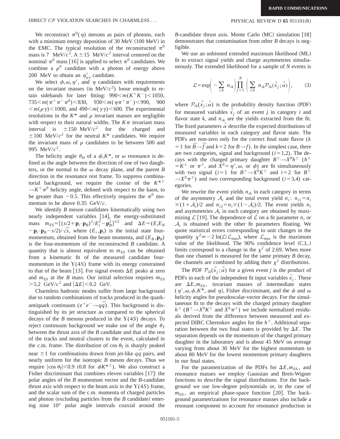We reconstruct  $\pi^{0}(\eta)$  mesons as pairs of photons, each with a minimum energy deposition of  $30$  MeV  $(100$  MeV) in the EMC. The typical resolution of the reconstructed  $\pi^0$ mass is 7 MeV/ $c^2$ . A  $\pm$  15 MeV/ $c^2$  interval centered on the nominal  $\pi^0$  mass [16] is applied to select  $\pi^0$  candidates. We combine a  $\rho^0$  candidate with a photon of energy above 200 MeV to obtain an  $\eta'_{\rho\gamma}$  candidate.

We select  $\phi,\omega,\eta'$ , and  $\eta$  candidates with requirements on the invariant masses (in MeV/ $c<sup>2</sup>$ ) loose enough to retain sidebands for later fitting:  $990 \le m(K^+K^-) \le 1050$ ,  $735\leq m(\pi^+\pi^-\pi^0)$  < 830, 930 $\leq m(\eta\pi^+\pi^-)$  < 990, 900  $\langle m(\rho \gamma) \langle 1000 \rangle$ , and 490 $\langle m(\gamma \gamma) \rangle \langle 600 \rangle$ . The experimental resolutions in the  $K^*$  and  $\rho$  invariant masses are negligible with respect to their natural widths. The  $K\pi$  invariant mass interval is  $\pm 150 \text{ MeV}/c^2$  for the charged  $\pm 100$  MeV/ $c^2$  for the neutral  $K^*$  candidates. We require the invariant mass of  $\rho$  candidates to be between 500 and 995 MeV/*c*2.

The helicity angle  $\theta_H$  of a  $\phi$ ,  $K^*$ , or  $\omega$  resonance is defined as the angle between the direction of one of two daughters, or the normal to the  $\omega$  decay plane, and the parent *B* direction in the resonance rest frame. To suppress combinatorial background, we require the cosine of the  $K^{*+}$  $\rightarrow$ *K*<sup> $\pm$ </sup> $\pi$ <sup>0</sup> helicity angle, defined with respect to the kaon, to be greater than  $-0.5$ . This effectively requires the  $\pi^0$  momentum to be above 0.35 GeV/*c*.

We identify *B* meson candidates kinematically using two nearly independent variables [14], the energy-substituted mass  $m_{ES} = [(s/2 + \mathbf{p}_i \cdot \mathbf{p}_B)^2 / E_i^2 - \mathbf{p}_B^2]^{1/2}$  and  $\Delta E = (E_i E_B)$  $-\mathbf{p}_i \cdot \mathbf{p}_B - s/2)/\sqrt{s}$ , where  $(E_i, \mathbf{p}_i)$  is the initial state fourmomentum, obtained from the beam momenta, and  $(E_B, \mathbf{p}_B)$ is the four-momentum of the reconstructed *B* candidate. A quantity that is almost equivalent to  $m<sub>ES</sub>$  can be obtained from a kinematic fit of the measured candidate fourmomentum in the  $Y(4S)$  frame with its energy constrained to that of the beam [13]. For signal events  $\Delta E$  peaks at zero and  $m_{ES}$  at the *B* mass. Our initial selection requires  $m_{ES}$  $>5.2$  GeV/ $c^2$  and  $|\Delta E|$  < 0.2 GeV.

Charmless hadronic modes suffer from large background due to random combinations of tracks produced in the quarkantiquark continuum ( $e^+e^- \rightarrow q\bar{q}$ ). This background is distinguished by its jet structure as compared to the spherical decays of the *B* mesons produced in the Y(4*S*) decays. To reject continuum background we make use of the angle  $\theta_T$ between the thrust axis of the *B* candidate and that of the rest of the tracks and neutral clusters in the event, calculated in the c.m. frame. The distribution of cos  $\theta_T$  is sharply peaked near  $\pm 1$  for combinations drawn from jet-like *qq* pairs, and nearly uniform for the isotropic *B* meson decays. Thus we require  $|\cos \theta_T|$ <0.9 (0.8 for  $\phi K^{*+}$ ). We also construct a Fisher discriminant that combines eleven variables  $[17]$ : the polar angles of the *B* momentum vector and the *B*-candidate thrust axis with respect to the beam axis in the  $Y(4S)$  frame, and the scalar sum of the c.m. momenta of charged particles and photon (excluding particles from the  $B$  candidate) entering nine 10° polar angle intervals coaxial around the

*B*-candidate thrust axis. Monte Carlo  $(MC)$  simulation  $|18|$ demonstrates that contamination from other *B* decays is negligible.

We use an unbinned extended maximum likelihood (ML) fit to extract signal yields and charge asymmetries simultaneously. The extended likelihood for a sample of *N* events is

$$
\mathcal{L} = \exp\left(-\sum_{i,k} n_{ik}\right) \prod_{j=1}^N \left(\sum_{i,k} n_{ik} \mathcal{P}_{ik}(\vec{x}_j; \vec{\alpha})\right),\tag{3}
$$

where  $\mathcal{P}_{ik}(x_i;\alpha)$  is the probability density function (PDF) for measured variables  $x_j$  of an event *j* in category *i* and flavor state  $k$ , and  $n_{ik}$  are the yields extracted from the fit. The fixed parameters  $\alpha$  describe the expected distributions of measured variables in each category and flavor state. The PDFs are non-zero only for the correct final state flavor (*k*  $= 1$  for  $\bar{B} \rightarrow \bar{f}$  and  $k = 2$  for  $B \rightarrow f$ ). In the simplest case, there are two categories, signal and background  $(i=1,2)$ . The decays with the charged primary daughter  $B^{\pm} \rightarrow X^{0} h^{\pm}$  ( $h^{\pm}$  $= K^{\pm}$  or  $\pi^{\pm}$ , and  $X^{0} = \eta'$ ,  $\omega$ , or  $\phi$ ) are fit simultaneously with two signal ( $i=1$  for  $B^{\pm} \rightarrow X^{0} K^{\pm}$  and  $i=2$  for  $B^{\pm}$  $\rightarrow X^{0}\pi^{\pm}$ ) and two corresponding background (*i*=3,4) categories.

We rewrite the event yields  $n_{ik}$  in each category in terms of the asymmetry  $A_i$  and the total event yield  $n_i$ :  $n_{i1} = n_i$  $\times$ (1+ $\mathcal{A}_i$ )/2 and  $n_{i2} = n_i \times (1 - \mathcal{A}_i)/2$ . The event yields  $n_i$ and asymmetries  $A_i$  in each category are obtained by maximizing  $\mathcal{L}$  | 19 |. The dependence of  $\mathcal{L}$  on a fit parameter  $n_i$  or  $A_i$  is obtained with the other fit parameters floating. We quote statistical errors corresponding to unit changes in the quantity  $\chi^2 = -2 \ln(L/L_{\text{max}})$ , where  $L_{\text{max}}$  is the maximum value of the likelihood. The 90% confidence level (C.L.) limits correspond to a change in the  $\chi^2$  of 2.69. When more than one channel is measured for the same primary *B* decay, the channels are combined by adding their  $\chi^2$  distributions.

The PDF  $\mathcal{P}_{ik}(x_i;\alpha)$  for a given event *j* is the product of PDFs in each of the independent fit input variables  $\hat{x}_j$ . These are  $\Delta E$ , $m_{ES}$ , invariant masses of intermediate states  $(\eta', \omega, \phi, K^*)$ , and  $\eta$ ), Fisher discriminant, and the  $\phi$  and  $\omega$ helicity angles for pseudoscalar-vector decays. For the simultaneous fit to the decays with the charged primary daughter  $h^{\pm}$  ( $B^{\pm} \rightarrow X^{0} K^{\pm}$  and  $X^{0} \pi^{\pm}$ ) we include normalized residuals derived from the difference between measured and expected DIRC Cherenkov angles for the  $h^{\pm}$ . Additional separation between the two final states is provided by  $\Delta E$ . The separation depends on the momentum of the charged primary daughter in the laboratory and is about 45 MeV on average varying from about 30 MeV for the highest momentum to about 80 MeV for the lowest momentum primary daughters in our final states.

For the parametrization of the PDFs for  $\Delta E, m_{ES}$ , and resonance masses we employ Gaussian and Breit-Wigner functions to describe the signal distributions. For the background we use low-degree polynomials or, in the case of  $m_{ES}$ , an empirical phase-space function [20]. The background parametrizations for resonance masses also include a resonant component to account for resonance production in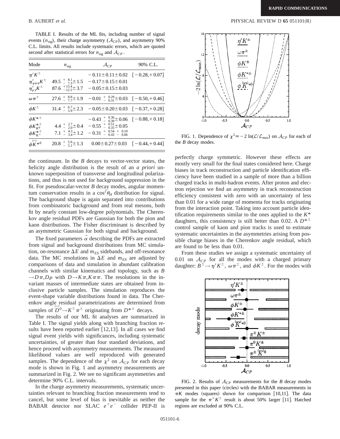TABLE I. Results of the ML fits, including number of signal events  $(n_{\text{sig}})$ , their charge asymmetry  $(A_{CP})$ , and asymmetry 90% C.L. limits. All results include systematic errors, which are quoted second after statistical errors for  $n_{sig}$  and  $A_{CP}$ .

| Mode                        | $n_{\text{sig}}$                   | $\mathcal{A}_{CP}$                                                                                                 | 90% C.L. |
|-----------------------------|------------------------------------|--------------------------------------------------------------------------------------------------------------------|----------|
| $\eta^{\prime} K^{\pm}$     |                                    | $-0.11 \pm 0.11 \pm 0.02$ $[-0.28, +0.07]$                                                                         |          |
| $\eta'_{\eta\pi\pi}K^{\pm}$ |                                    | 49.5 $\frac{1}{2}$ $\frac{8.1}{7.3}$ $\pm$ 1.5 $-0.17$ $\pm$ 0.15 $\pm$ 0.01                                       |          |
| $\eta'_{\rho\gamma}K^{\pm}$ |                                    | $87.6^{+13.4}_{-12.5}$ $\pm 3.7$ $-0.05 \pm 0.15 \pm 0.03$                                                         |          |
| $\omega \pi^{\pm}$          |                                    | 27.6 $\frac{1}{2}$ $\frac{8.8}{7}$ $\pm$ 1.9 $-0.01$ $\frac{1}{2}$ $\frac{0.29}{0.31}$ $\pm$ 0.03 $[-0.50, +0.46]$ |          |
| $\phi K^{\pm}$              |                                    | $31.4 \div 6.7 + 2.3 -0.05 \pm 0.20 \pm 0.03$ $[-0.37, +0.28]$                                                     |          |
| $\phi K^{* \pm}$            |                                    | $-0.43^{+0.36}_{-0.30}$ + 0.06 $[-0.88, +0.18]$                                                                    |          |
| $\phi K_{K^0}^{*~\pm}$      |                                    | 4.4 $\frac{1}{2}$ $\frac{2.7}{2.0}$ $\pm$ 0.4 $-0.55$ $\frac{1}{2}$ $\frac{0.51}{0.35}$ $\pm$ 0.05                 |          |
| $\phi K_{K^{+}}^{*+}$       |                                    | $7.1 \pm \frac{4.3}{3.4} \pm 1.2 -0.31 \pm \frac{0.54}{0.43} \pm \frac{0.10}{0.06}$                                |          |
| $\phi_{K^{*0}}^{(-)}$       | $20.8 \pm \frac{5.9}{5.1} \pm 1.3$ | $0.00 \pm 0.27 \pm 0.03$ $[-0.44, +0.44]$                                                                          |          |

the continuum. In the *B* decays to vector-vector states, the helicity angle distribution is the result of an *a priori* unknown superposition of transverse and longitudinal polarizations, and thus is not used for background suppression in the fit. For pseudoscalar-vector *B* decay modes, angular momentum conservation results in a  $\cos^2\theta_H$  distribution for signal. The background shape is again separated into contributions from combinatoric background and from real mesons, both fit by nearly constant low-degree polynomials. The Cherenkov angle residual PDFs are Gaussian for both the pion and kaon distributions. The Fisher discriminant is described by an asymmetric Gaussian for both signal and background.

The fixed parameters  $\alpha$  describing the PDFs are extracted from signal and background distributions from MC simulation, on-resonance  $\Delta E$  and  $m_{ES}$  sidebands, and off-resonance data. The MC resolutions in  $\Delta E$  and  $m_{ES}$  are adjusted by comparisons of data and simulation in abundant calibration channels with similar kinematics and topology, such as *B*  $\rightarrow$ *D* $\pi$ *,D* $\rho$  with *D* $\rightarrow$ *K* $\pi$ *,K* $\pi$  $\pi$ *.* The resolutions in the invariant masses of intermediate states are obtained from inclusive particle samples. The simulation reproduces the event-shape variable distributions found in data. The Cherenkov angle residual parametrizations are determined from samples of  $\overline{D}^0 \rightarrow K^{\pm} \pi^{\pm}$  originating from  $D^{* \pm}$  decays.

The results of our ML fit analyses are summarized in Table I. The signal yields along with branching fraction results have been reported earlier  $[12,13]$ . In all cases we find signal event yields with significances, including systematic uncertainties, of greater than four standard deviations, and hence proceed with asymmetry measurements. The measured likelihood values are well reproduced with generated samples. The dependence of the  $\chi^2$  on  $\mathcal{A}_{CP}$  for each decay mode is shown in Fig. 1 and asymmetry measurements are summarized in Fig. 2. We see no significant asymmetries and determine 90% C.L. intervals.

In the charge asymmetry measurements, systematic uncertainties relevant to branching fraction measurements tend to cancel, but some level of bias is inevitable as neither the BABAR detector nor SLAC  $e^+e^-$  collider PEP-II is

## B. AUBERT *et al.* PHYSICAL REVIEW D **65** 051101(R)



FIG. 1. Dependence of  $\chi^2 = -2 \ln(\mathcal{L}/\mathcal{L}_{\text{max}})$  on  $\mathcal{A}_{CP}$  for each of the *B* decay modes.

perfectly charge symmetric. However these effects are mostly very small for the final states considered here. Charge biases in track reconstruction and particle identification efficiency have been studied in a sample of more than a billion charged tracks in multi-hadron events. After proton and electron rejection we find an asymmetry in track reconstruction efficiency consistent with zero with an uncertainty of less than 0.01 for a wide range of momenta for tracks originating from the interaction point. Taking into account particle identification requirements similar to the ones applied to the *K*\* daughters, this consistency is still better than 0.02. A  $D^{* \pm}$ control sample of kaon and pion tracks is used to estimate systematic uncertainties in the asymmetries arising from possible charge biases in the Cherenkov angle residual, which are found to be less than 0.01.

From these studies we assign a systematic uncertainty of 0.01 on  $A_{CP}$  for all the modes with a charged primary daughter:  $B^{\pm} \rightarrow \eta' K^{\pm}$ ,  $\omega \pi^{\pm}$ , and  $\phi K^{\pm}$ . For the modes with



FIG. 2. Results of  $A_{CP}$  measurements for the *B* decay modes presented in this paper (circles) with the BABAR measurements in  $\pi K$  modes (squares) shown for comparison [10,11]. The data sample for the  $\pi^{\pm} K^{\pm}$  result is about 50% larger [11]. Hatched regions are excluded at 90% C.L.